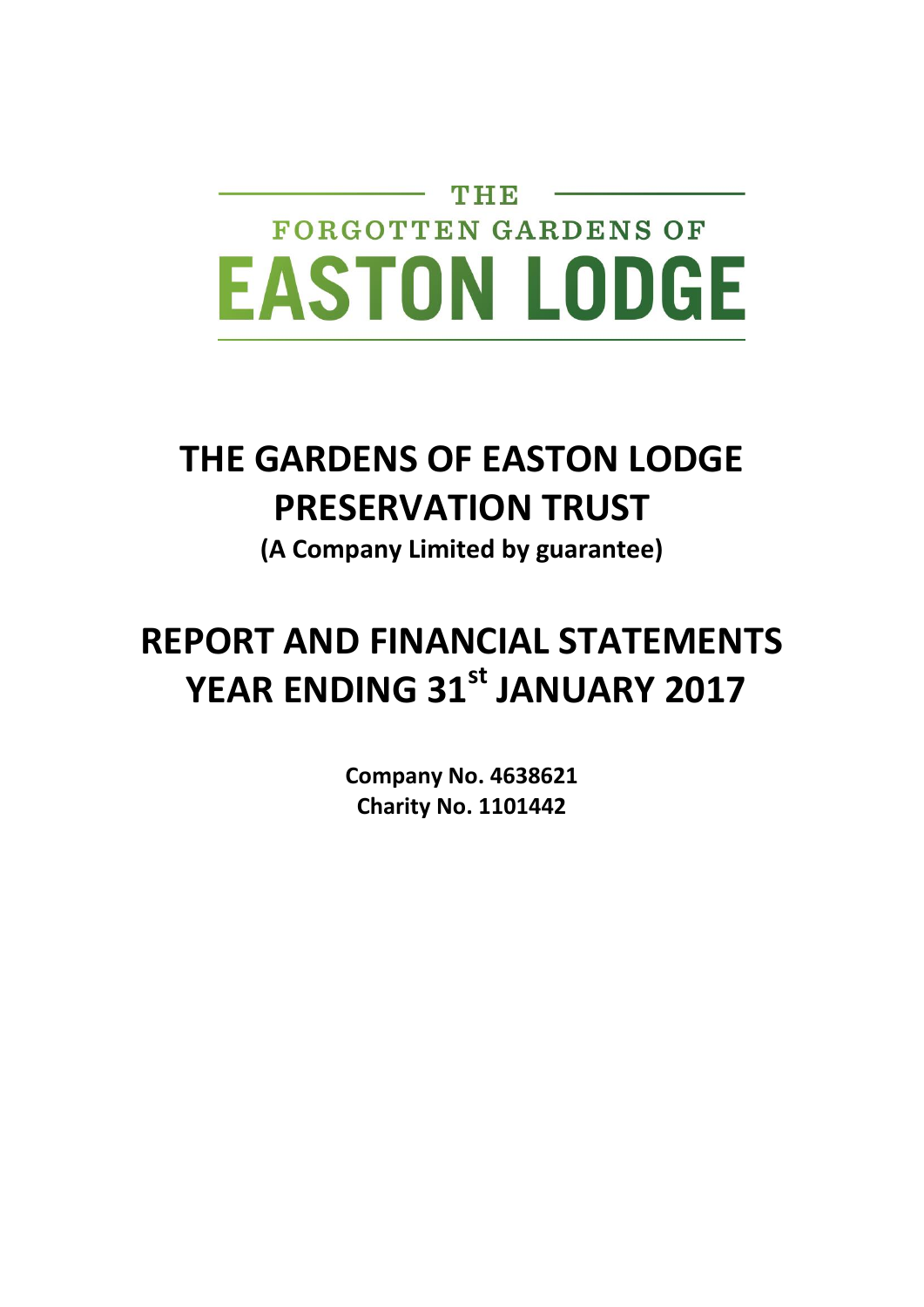# THE FORGOTTEN GARDENS OF **EASTON LODGE**

## **THE GARDENS OF EASTON LODGE PRESERVATION TRUST**

**(A Company Limited by guarantee)**

## **REPORT AND FINANCIAL STATEMENTS YEAR ENDING 31st JANUARY 2017**

**Company No. 4638621 Charity No. 1101442**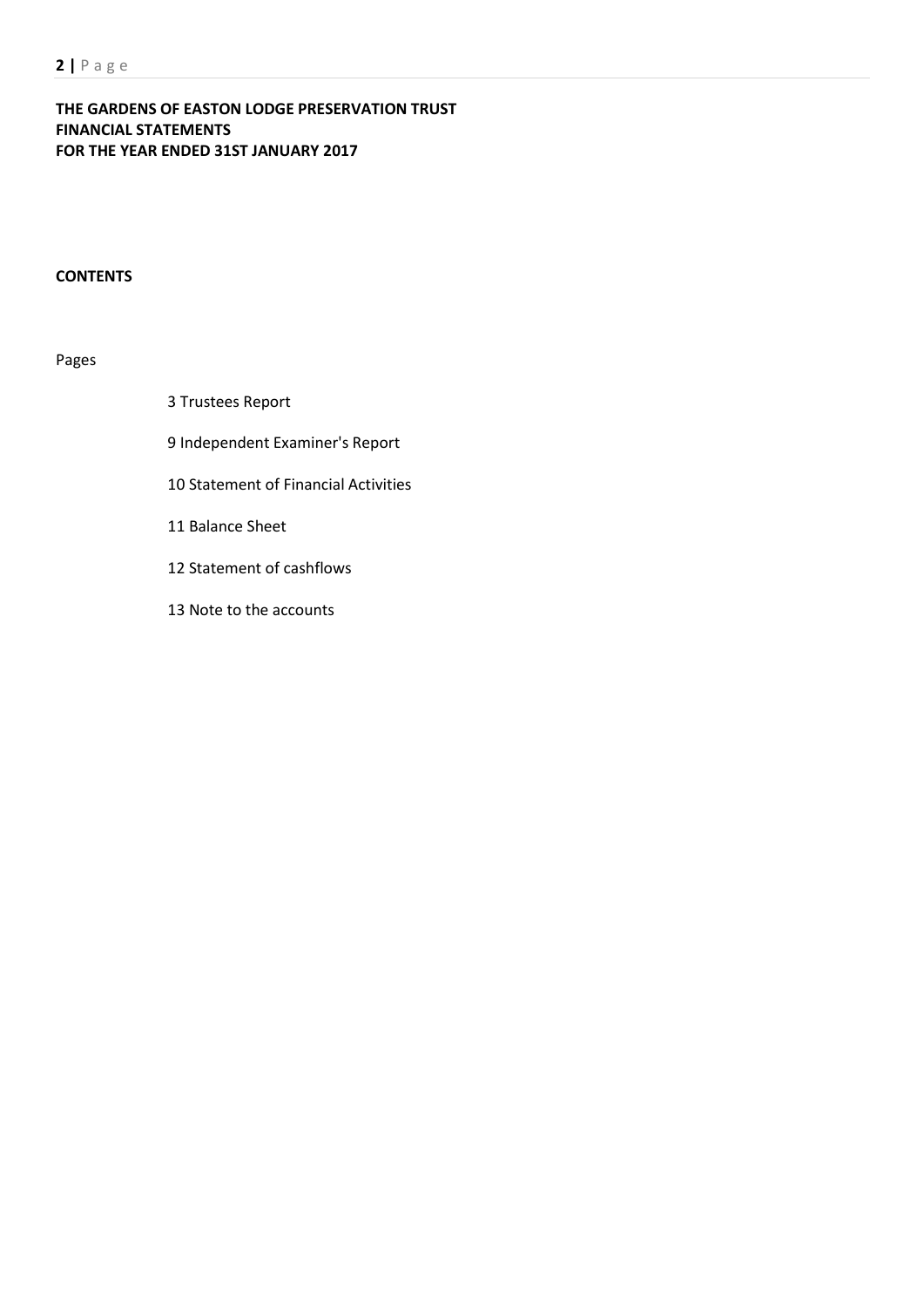**THE GARDENS OF EASTON LODGE PRESERVATION TRUST FINANCIAL STATEMENTS FOR THE YEAR ENDED 31ST JANUARY 2017**

#### **CONTENTS**

#### Pages

| 3 Trustees Report                    |
|--------------------------------------|
| 9 Independent Examiner's Report      |
| 10 Statement of Financial Activities |
| 11 Balance Sheet                     |
| 12 Statement of cashflows            |
| 13 Note to the accounts              |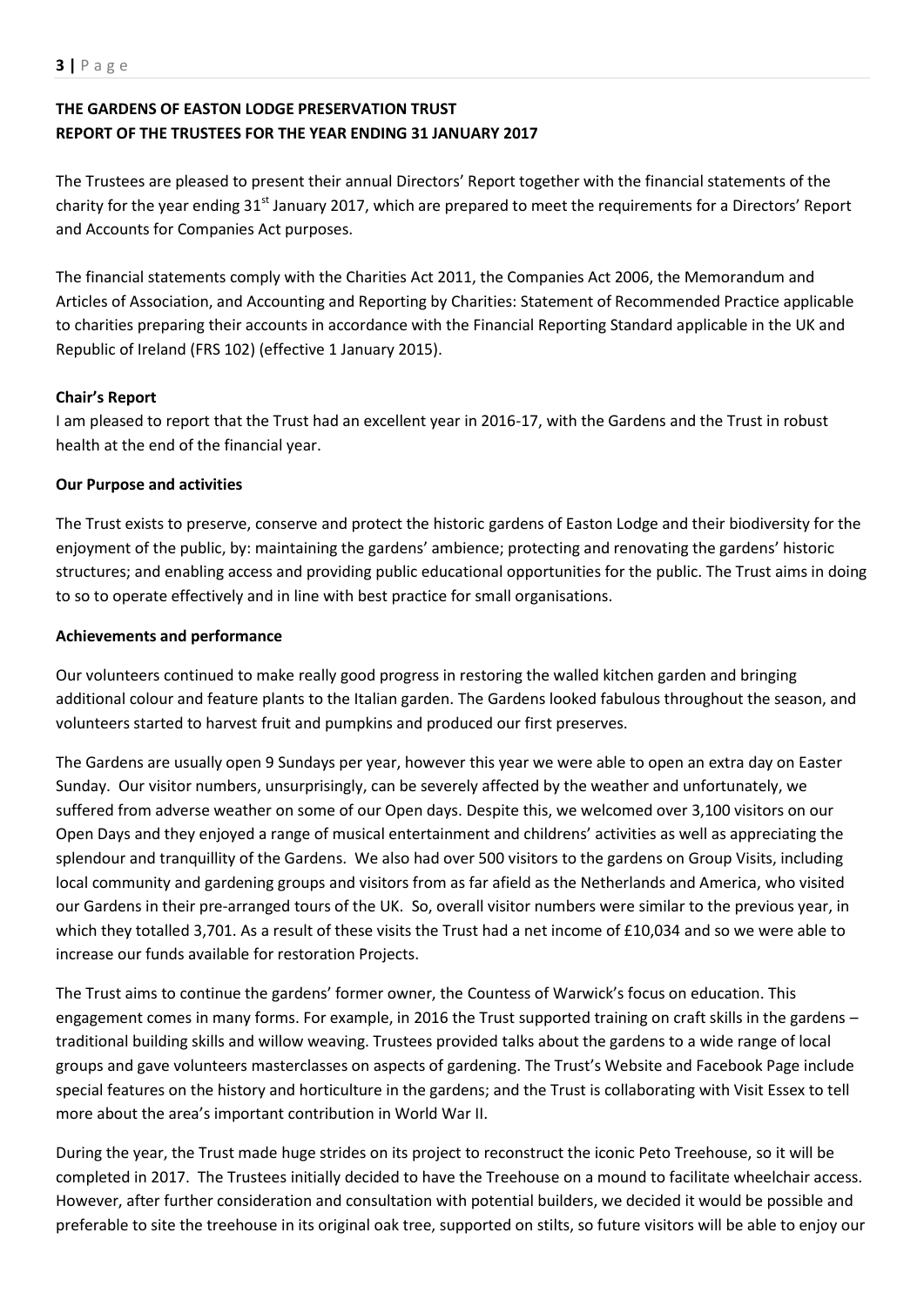The Trustees are pleased to present their annual Directors' Report together with the financial statements of the charity for the year ending 31<sup>st</sup> January 2017, which are prepared to meet the requirements for a Directors' Report and Accounts for Companies Act purposes.

The financial statements comply with the Charities Act 2011, the Companies Act 2006, the Memorandum and Articles of Association, and Accounting and Reporting by Charities: Statement of Recommended Practice applicable to charities preparing their accounts in accordance with the Financial Reporting Standard applicable in the UK and Republic of Ireland (FRS 102) (effective 1 January 2015).

#### **Chair's Report**

I am pleased to report that the Trust had an excellent year in 2016-17, with the Gardens and the Trust in robust health at the end of the financial year.

#### **Our Purpose and activities**

The Trust exists to preserve, conserve and protect the historic gardens of Easton Lodge and their biodiversity for the enjoyment of the public, by: maintaining the gardens' ambience; protecting and renovating the gardens' historic structures; and enabling access and providing public educational opportunities for the public. The Trust aims in doing to so to operate effectively and in line with best practice for small organisations.

#### **Achievements and performance**

Our volunteers continued to make really good progress in restoring the walled kitchen garden and bringing additional colour and feature plants to the Italian garden. The Gardens looked fabulous throughout the season, and volunteers started to harvest fruit and pumpkins and produced our first preserves.

The Gardens are usually open 9 Sundays per year, however this year we were able to open an extra day on Easter Sunday. Our visitor numbers, unsurprisingly, can be severely affected by the weather and unfortunately, we suffered from adverse weather on some of our Open days. Despite this, we welcomed over 3,100 visitors on our Open Days and they enjoyed a range of musical entertainment and childrens' activities as well as appreciating the splendour and tranquillity of the Gardens. We also had over 500 visitors to the gardens on Group Visits, including local community and gardening groups and visitors from as far afield as the Netherlands and America, who visited our Gardens in their pre-arranged tours of the UK. So, overall visitor numbers were similar to the previous year, in which they totalled 3,701. As a result of these visits the Trust had a net income of £10,034 and so we were able to increase our funds available for restoration Projects.

The Trust aims to continue the gardens' former owner, the Countess of Warwick's focus on education. This engagement comes in many forms. For example, in 2016 the Trust supported training on craft skills in the gardens – traditional building skills and willow weaving. Trustees provided talks about the gardens to a wide range of local groups and gave volunteers masterclasses on aspects of gardening. The Trust's Website and Facebook Page include special features on the history and horticulture in the gardens; and the Trust is collaborating with Visit Essex to tell more about the area's important contribution in World War II.

During the year, the Trust made huge strides on its project to reconstruct the iconic Peto Treehouse, so it will be completed in 2017. The Trustees initially decided to have the Treehouse on a mound to facilitate wheelchair access. However, after further consideration and consultation with potential builders, we decided it would be possible and preferable to site the treehouse in its original oak tree, supported on stilts, so future visitors will be able to enjoy our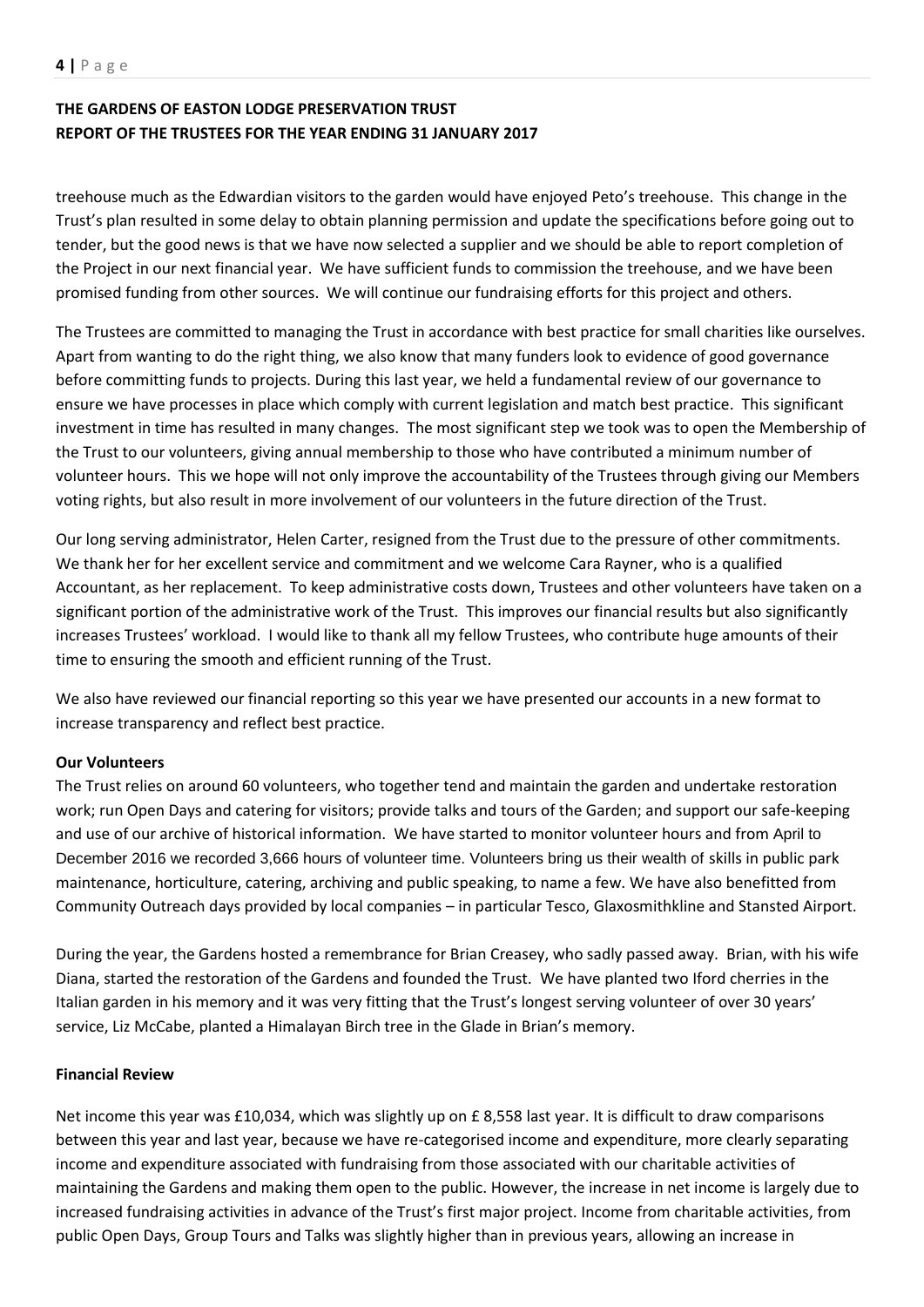treehouse much as the Edwardian visitors to the garden would have enjoyed Peto's treehouse. This change in the Trust's plan resulted in some delay to obtain planning permission and update the specifications before going out to tender, but the good news is that we have now selected a supplier and we should be able to report completion of the Project in our next financial year. We have sufficient funds to commission the treehouse, and we have been promised funding from other sources. We will continue our fundraising efforts for this project and others.

The Trustees are committed to managing the Trust in accordance with best practice for small charities like ourselves. Apart from wanting to do the right thing, we also know that many funders look to evidence of good governance before committing funds to projects. During this last year, we held a fundamental review of our governance to ensure we have processes in place which comply with current legislation and match best practice. This significant investment in time has resulted in many changes. The most significant step we took was to open the Membership of the Trust to our volunteers, giving annual membership to those who have contributed a minimum number of volunteer hours. This we hope will not only improve the accountability of the Trustees through giving our Members voting rights, but also result in more involvement of our volunteers in the future direction of the Trust.

Our long serving administrator, Helen Carter, resigned from the Trust due to the pressure of other commitments. We thank her for her excellent service and commitment and we welcome Cara Rayner, who is a qualified Accountant, as her replacement. To keep administrative costs down, Trustees and other volunteers have taken on a significant portion of the administrative work of the Trust. This improves our financial results but also significantly increases Trustees' workload. I would like to thank all my fellow Trustees, who contribute huge amounts of their time to ensuring the smooth and efficient running of the Trust.

We also have reviewed our financial reporting so this year we have presented our accounts in a new format to increase transparency and reflect best practice.

#### **Our Volunteers**

The Trust relies on around 60 volunteers, who together tend and maintain the garden and undertake restoration work; run Open Days and catering for visitors; provide talks and tours of the Garden; and support our safe-keeping and use of our archive of historical information. We have started to monitor volunteer hours and from April to December 2016 we recorded 3,666 hours of volunteer time. Volunteers bring us their wealth of skills in public park maintenance, horticulture, catering, archiving and public speaking, to name a few. We have also benefitted from Community Outreach days provided by local companies – in particular Tesco, Glaxosmithkline and Stansted Airport.

During the year, the Gardens hosted a remembrance for Brian Creasey, who sadly passed away. Brian, with his wife Diana, started the restoration of the Gardens and founded the Trust. We have planted two Iford cherries in the Italian garden in his memory and it was very fitting that the Trust's longest serving volunteer of over 30 years' service, Liz McCabe, planted a Himalayan Birch tree in the Glade in Brian's memory.

#### **Financial Review**

Net income this year was £10,034, which was slightly up on £8,558 last year. It is difficult to draw comparisons between this year and last year, because we have re-categorised income and expenditure, more clearly separating income and expenditure associated with fundraising from those associated with our charitable activities of maintaining the Gardens and making them open to the public. However, the increase in net income is largely due to increased fundraising activities in advance of the Trust's first major project. Income from charitable activities, from public Open Days, Group Tours and Talks was slightly higher than in previous years, allowing an increase in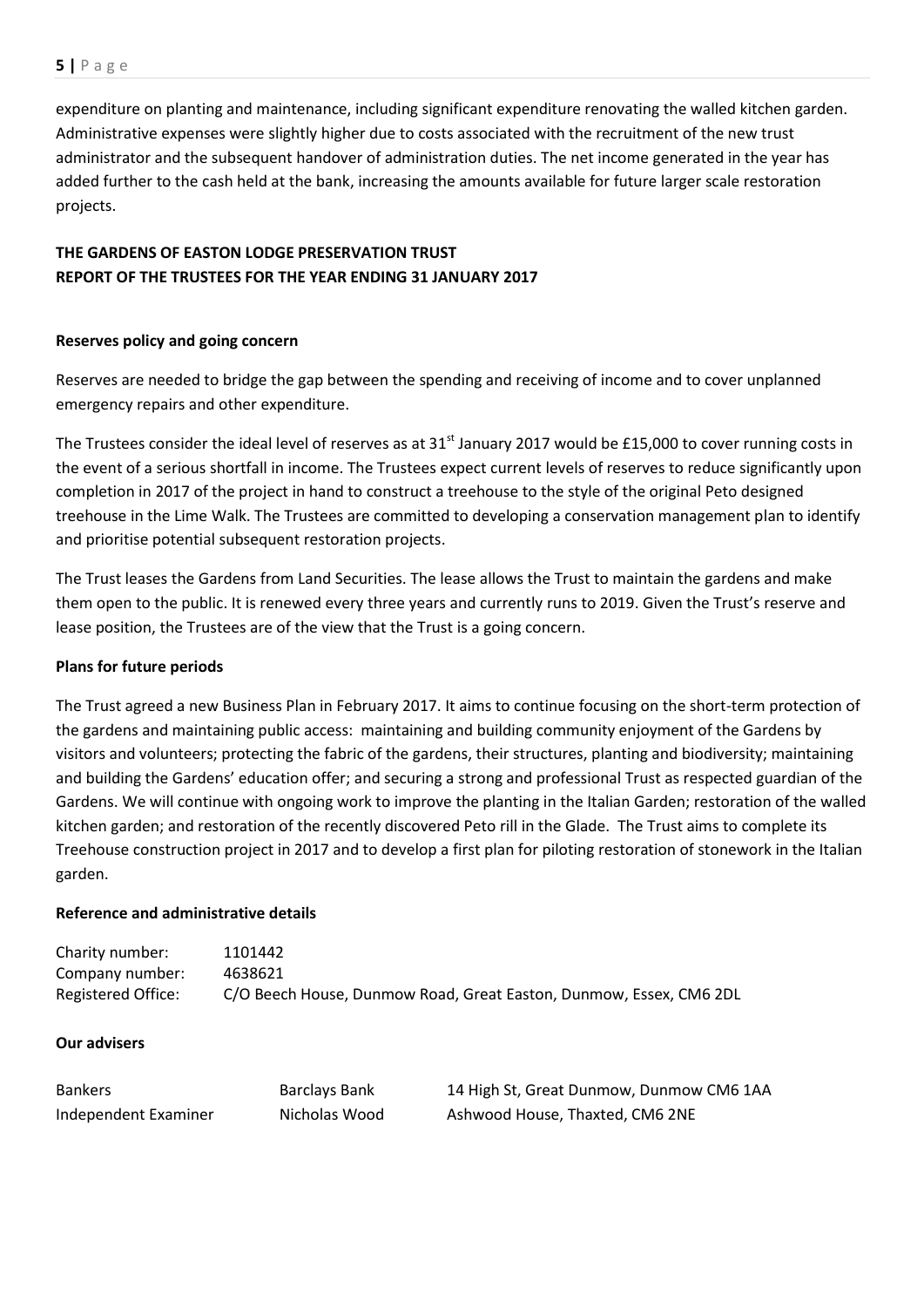expenditure on planting and maintenance, including significant expenditure renovating the walled kitchen garden. Administrative expenses were slightly higher due to costs associated with the recruitment of the new trust administrator and the subsequent handover of administration duties. The net income generated in the year has added further to the cash held at the bank, increasing the amounts available for future larger scale restoration projects.

## **THE GARDENS OF EASTON LODGE PRESERVATION TRUST REPORT OF THE TRUSTEES FOR THE YEAR ENDING 31 JANUARY 2017**

#### **Reserves policy and going concern**

Reserves are needed to bridge the gap between the spending and receiving of income and to cover unplanned emergency repairs and other expenditure.

The Trustees consider the ideal level of reserves as at  $31<sup>st</sup>$  January 2017 would be £15,000 to cover running costs in the event of a serious shortfall in income. The Trustees expect current levels of reserves to reduce significantly upon completion in 2017 of the project in hand to construct a treehouse to the style of the original Peto designed treehouse in the Lime Walk. The Trustees are committed to developing a conservation management plan to identify and prioritise potential subsequent restoration projects.

The Trust leases the Gardens from Land Securities. The lease allows the Trust to maintain the gardens and make them open to the public. It is renewed every three years and currently runs to 2019. Given the Trust's reserve and lease position, the Trustees are of the view that the Trust is a going concern.

#### **Plans for future periods**

The Trust agreed a new Business Plan in February 2017. It aims to continue focusing on the short-term protection of the gardens and maintaining public access: maintaining and building community enjoyment of the Gardens by visitors and volunteers; protecting the fabric of the gardens, their structures, planting and biodiversity; maintaining and building the Gardens' education offer; and securing a strong and professional Trust as respected guardian of the Gardens. We will continue with ongoing work to improve the planting in the Italian Garden; restoration of the walled kitchen garden; and restoration of the recently discovered Peto rill in the Glade. The Trust aims to complete its Treehouse construction project in 2017 and to develop a first plan for piloting restoration of stonework in the Italian garden.

#### **Reference and administrative details**

| Charity number:    | 1101442                                                            |
|--------------------|--------------------------------------------------------------------|
| Company number:    | 4638621                                                            |
| Registered Office: | C/O Beech House, Dunmow Road, Great Easton, Dunmow, Essex, CM6 2DL |

#### **Our advisers**

Bankers **Bank 14 High St, Great Dunmow, Dunmow CM6 1AA** Independent Examiner Nicholas Wood Ashwood House, Thaxted, CM6 2NE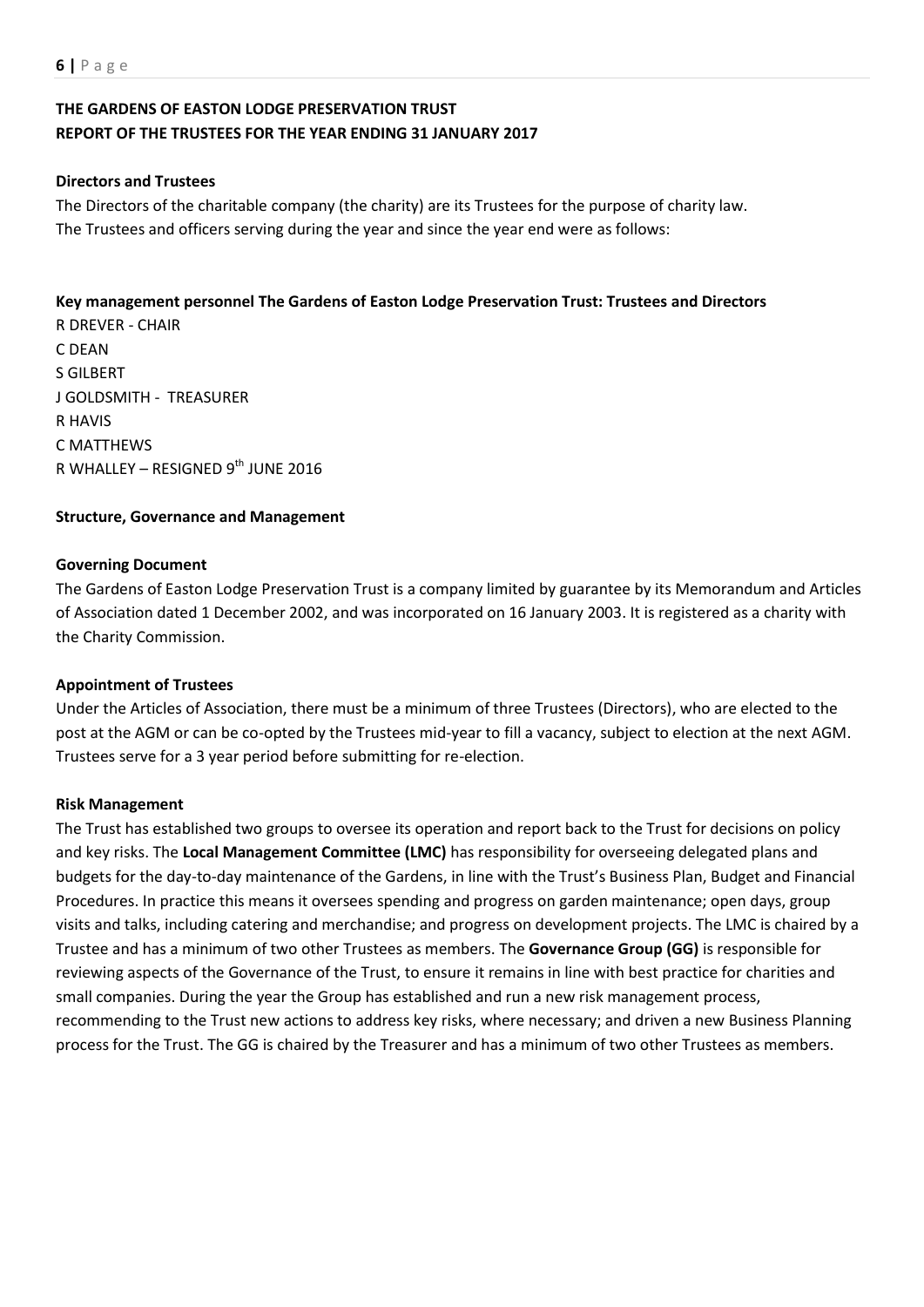#### **Directors and Trustees**

The Directors of the charitable company (the charity) are its Trustees for the purpose of charity law. The Trustees and officers serving during the year and since the year end were as follows:

#### **Key management personnel The Gardens of Easton Lodge Preservation Trust: Trustees and Directors**  R DREVER - CHAIR

C DEAN S GILBERT J GOLDSMITH - TREASURER R HAVIS C MATTHEWS R WHALLEY – RESIGNED  $9^{th}$  JUNE 2016

#### **Structure, Governance and Management**

#### **Governing Document**

The Gardens of Easton Lodge Preservation Trust is a company limited by guarantee by its Memorandum and Articles of Association dated 1 December 2002, and was incorporated on 16 January 2003. It is registered as a charity with the Charity Commission.

#### **Appointment of Trustees**

Under the Articles of Association, there must be a minimum of three Trustees (Directors), who are elected to the post at the AGM or can be co-opted by the Trustees mid-year to fill a vacancy, subject to election at the next AGM. Trustees serve for a 3 year period before submitting for re-election.

#### **Risk Management**

The Trust has established two groups to oversee its operation and report back to the Trust for decisions on policy and key risks. The **Local Management Committee (LMC)** has responsibility for overseeing delegated plans and budgets for the day-to-day maintenance of the Gardens, in line with the Trust's Business Plan, Budget and Financial Procedures. In practice this means it oversees spending and progress on garden maintenance; open days, group visits and talks, including catering and merchandise; and progress on development projects. The LMC is chaired by a Trustee and has a minimum of two other Trustees as members. The **Governance Group (GG)** is responsible for reviewing aspects of the Governance of the Trust, to ensure it remains in line with best practice for charities and small companies. During the year the Group has established and run a new risk management process, recommending to the Trust new actions to address key risks, where necessary; and driven a new Business Planning process for the Trust. The GG is chaired by the Treasurer and has a minimum of two other Trustees as members.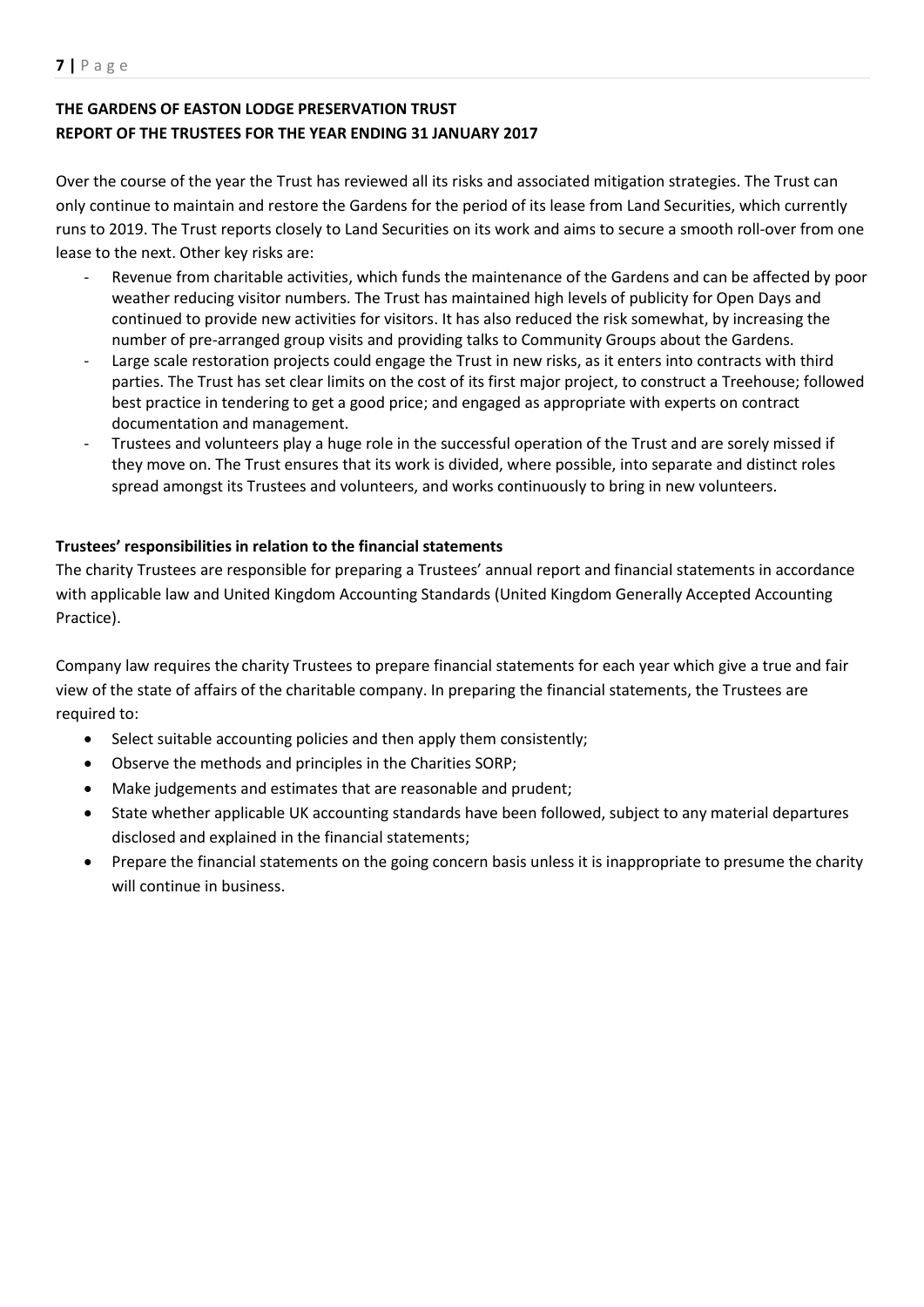Over the course of the year the Trust has reviewed all its risks and associated mitigation strategies. The Trust can only continue to maintain and restore the Gardens for the period of its lease from Land Securities, which currently runs to 2019. The Trust reports closely to Land Securities on its work and aims to secure a smooth roll-over from one lease to the next. Other key risks are:

- Revenue from charitable activities, which funds the maintenance of the Gardens and can be affected by poor weather reducing visitor numbers. The Trust has maintained high levels of publicity for Open Days and continued to provide new activities for visitors. It has also reduced the risk somewhat, by increasing the number of pre-arranged group visits and providing talks to Community Groups about the Gardens.
- Large scale restoration projects could engage the Trust in new risks, as it enters into contracts with third parties. The Trust has set clear limits on the cost of its first major project, to construct a Treehouse; followed best practice in tendering to get a good price; and engaged as appropriate with experts on contract documentation and management.
- Trustees and volunteers play a huge role in the successful operation of the Trust and are sorely missed if they move on. The Trust ensures that its work is divided, where possible, into separate and distinct roles spread amongst its Trustees and volunteers, and works continuously to bring in new volunteers.

### **Trustees' responsibilities in relation to the financial statements**

The charity Trustees are responsible for preparing a Trustees' annual report and financial statements in accordance with applicable law and United Kingdom Accounting Standards (United Kingdom Generally Accepted Accounting Practice).

Company law requires the charity Trustees to prepare financial statements for each year which give a true and fair view of the state of affairs of the charitable company. In preparing the financial statements, the Trustees are required to:

- Select suitable accounting policies and then apply them consistently;
- Observe the methods and principles in the Charities SORP;
- Make judgements and estimates that are reasonable and prudent;
- State whether applicable UK accounting standards have been followed, subject to any material departures disclosed and explained in the financial statements;
- Prepare the financial statements on the going concern basis unless it is inappropriate to presume the charity will continue in business.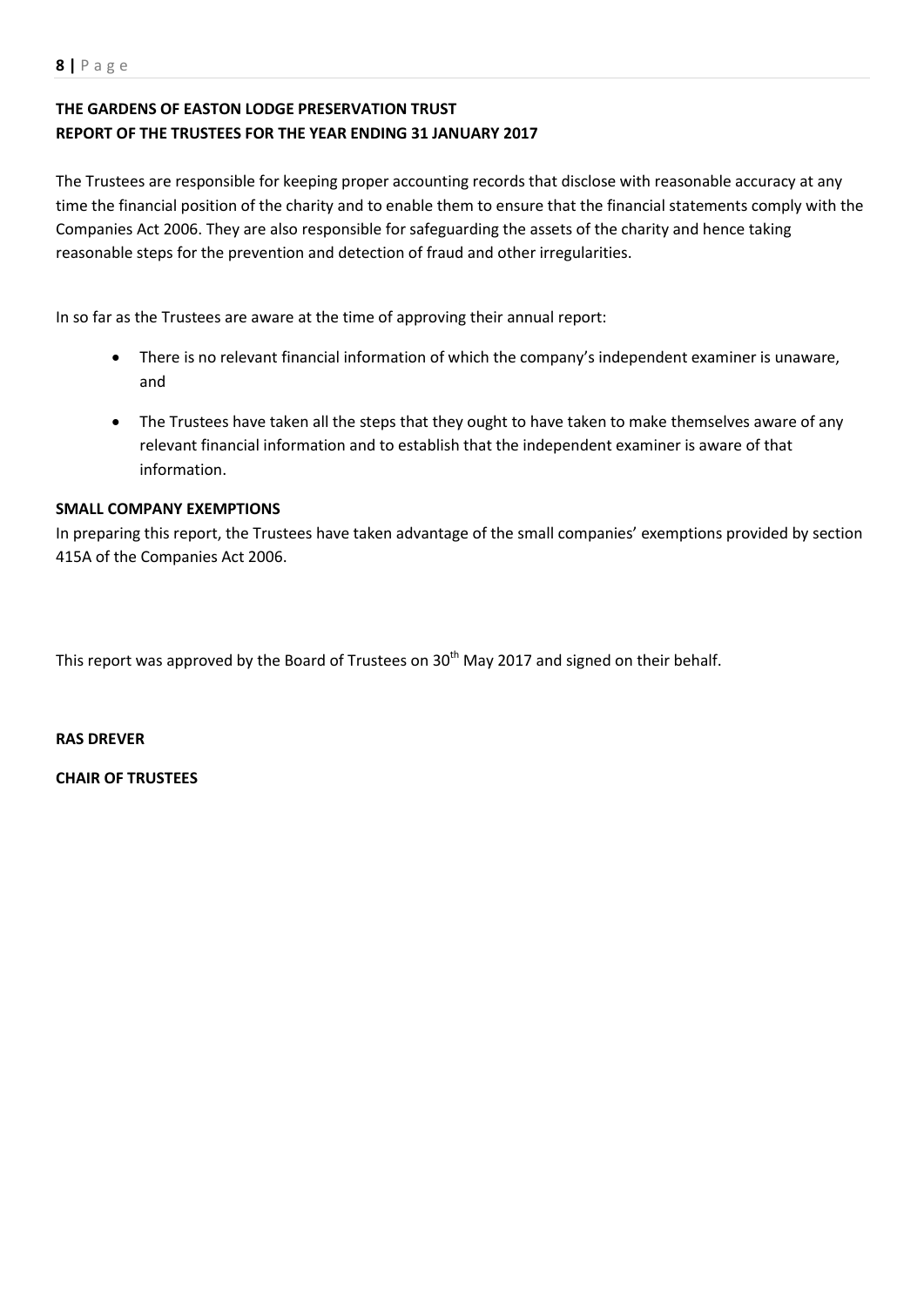The Trustees are responsible for keeping proper accounting records that disclose with reasonable accuracy at any time the financial position of the charity and to enable them to ensure that the financial statements comply with the Companies Act 2006. They are also responsible for safeguarding the assets of the charity and hence taking reasonable steps for the prevention and detection of fraud and other irregularities.

In so far as the Trustees are aware at the time of approving their annual report:

- There is no relevant financial information of which the company's independent examiner is unaware, and
- The Trustees have taken all the steps that they ought to have taken to make themselves aware of any relevant financial information and to establish that the independent examiner is aware of that information.

#### **SMALL COMPANY EXEMPTIONS**

In preparing this report, the Trustees have taken advantage of the small companies' exemptions provided by section 415A of the Companies Act 2006.

This report was approved by the Board of Trustees on 30<sup>th</sup> May 2017 and signed on their behalf.

**RAS DREVER**

#### **CHAIR OF TRUSTEES**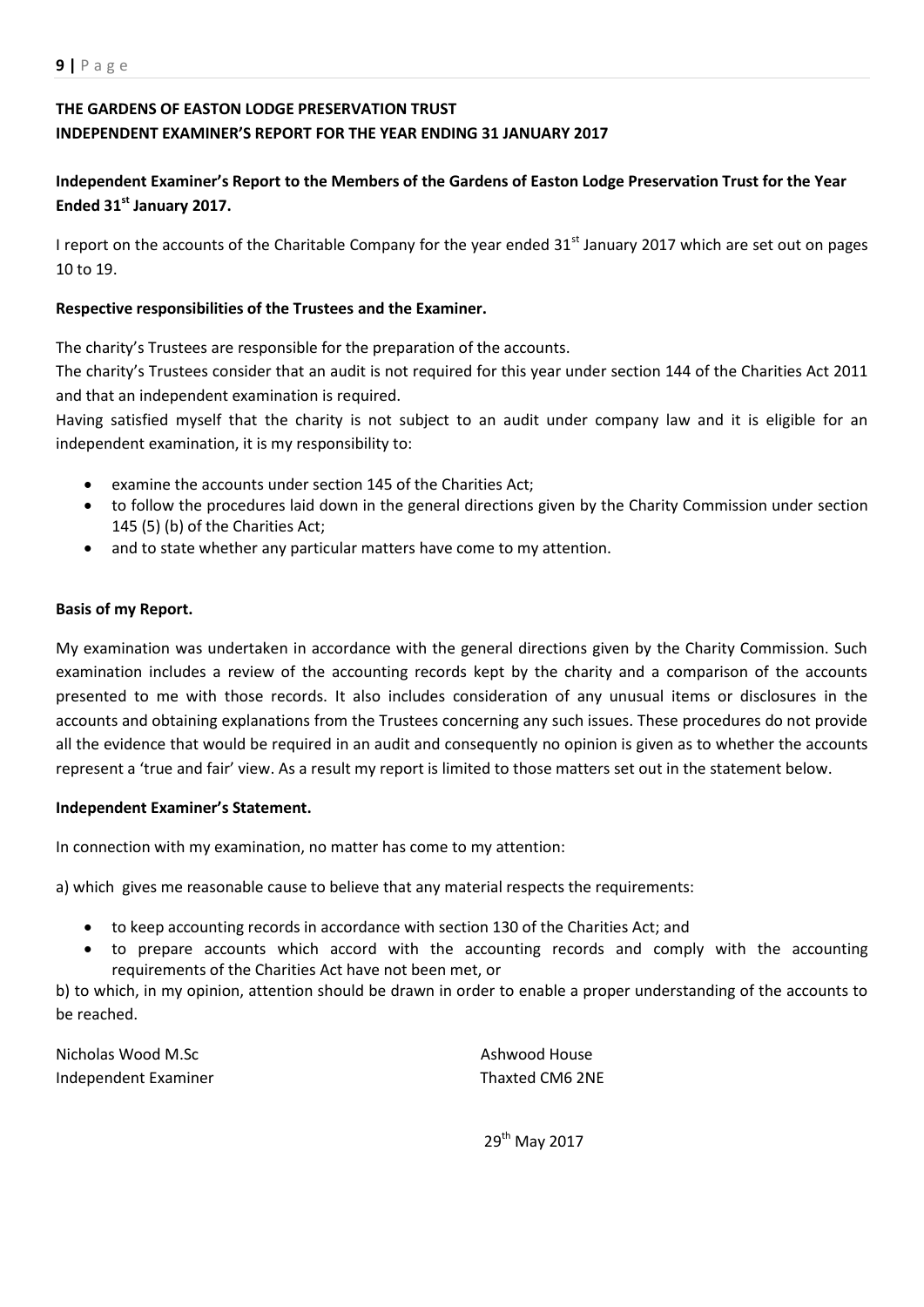## **THE GARDENS OF EASTON LODGE PRESERVATION TRUST INDEPENDENT EXAMINER'S REPORT FOR THE YEAR ENDING 31 JANUARY 2017**

## **Independent Examiner's Report to the Members of the Gardens of Easton Lodge Preservation Trust for the Year Ended 31st January 2017.**

I report on the accounts of the Charitable Company for the year ended 31<sup>st</sup> January 2017 which are set out on pages 10 to 19.

#### **Respective responsibilities of the Trustees and the Examiner.**

The charity's Trustees are responsible for the preparation of the accounts.

The charity's Trustees consider that an audit is not required for this year under section 144 of the Charities Act 2011 and that an independent examination is required.

Having satisfied myself that the charity is not subject to an audit under company law and it is eligible for an independent examination, it is my responsibility to:

- examine the accounts under section 145 of the Charities Act;
- to follow the procedures laid down in the general directions given by the Charity Commission under section 145 (5) (b) of the Charities Act;
- and to state whether any particular matters have come to my attention.

#### **Basis of my Report.**

My examination was undertaken in accordance with the general directions given by the Charity Commission. Such examination includes a review of the accounting records kept by the charity and a comparison of the accounts presented to me with those records. It also includes consideration of any unusual items or disclosures in the accounts and obtaining explanations from the Trustees concerning any such issues. These procedures do not provide all the evidence that would be required in an audit and consequently no opinion is given as to whether the accounts represent a 'true and fair' view. As a result my report is limited to those matters set out in the statement below.

#### **Independent Examiner's Statement.**

In connection with my examination, no matter has come to my attention:

a) which gives me reasonable cause to believe that any material respects the requirements:

- to keep accounting records in accordance with section 130 of the Charities Act; and
- to prepare accounts which accord with the accounting records and comply with the accounting requirements of the Charities Act have not been met, or

b) to which, in my opinion, attention should be drawn in order to enable a proper understanding of the accounts to be reached.

| Nicholas Wood M.Sc   | Ashwood House   |
|----------------------|-----------------|
| Independent Examiner | Thaxted CM6 2NE |

29<sup>th</sup> May 2017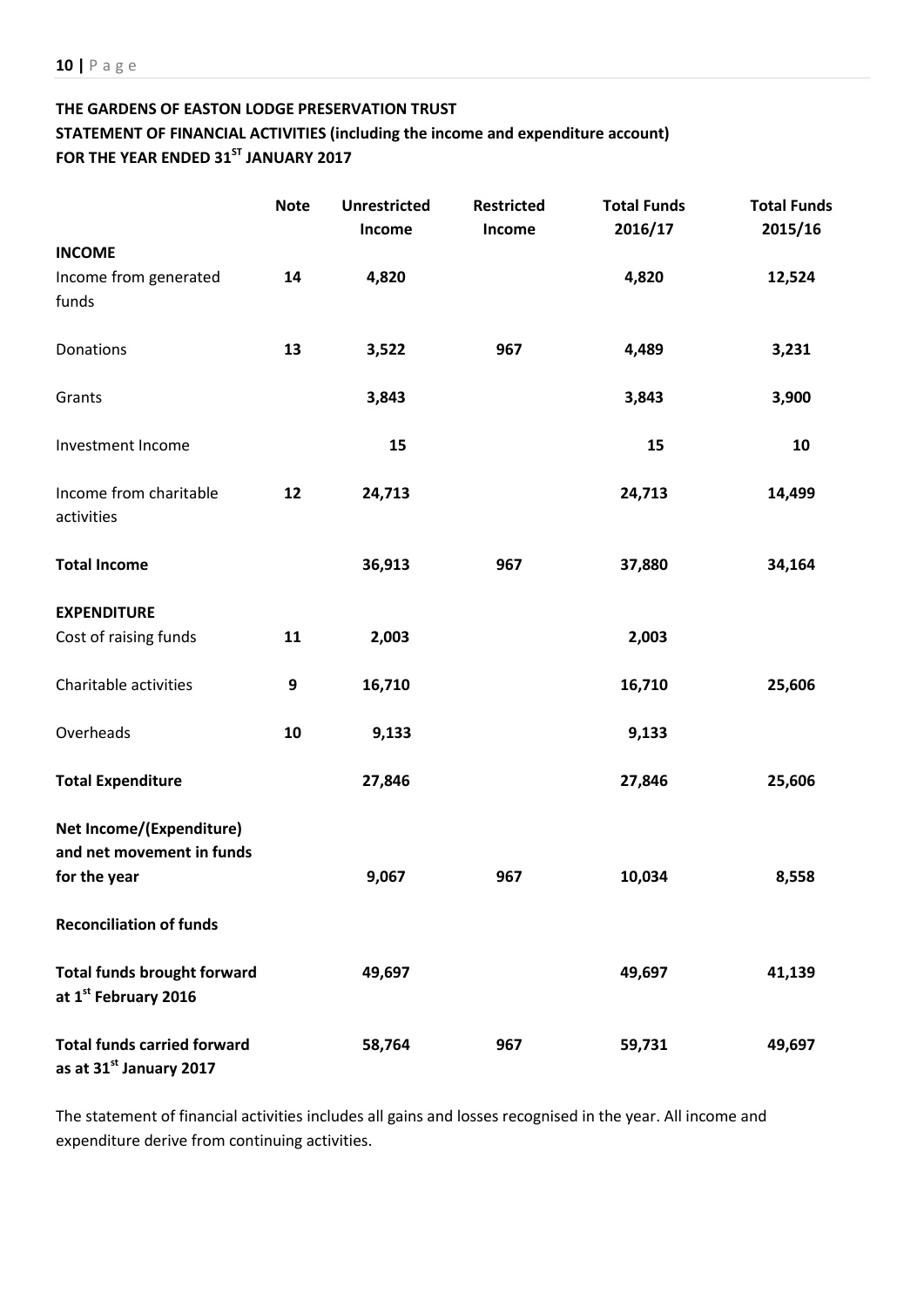## **THE GARDENS OF EASTON LODGE PRESERVATION TRUST STATEMENT OF FINANCIAL ACTIVITIES (including the income and expenditure account) FOR THE YEAR ENDED 31ST JANUARY 2017**

|                                                                              | <b>Note</b> | <b>Unrestricted</b><br>Income | <b>Restricted</b><br>Income | <b>Total Funds</b><br>2016/17 | <b>Total Funds</b><br>2015/16 |
|------------------------------------------------------------------------------|-------------|-------------------------------|-----------------------------|-------------------------------|-------------------------------|
| <b>INCOME</b>                                                                |             |                               |                             |                               |                               |
| Income from generated<br>funds                                               | 14          | 4,820                         |                             | 4,820                         | 12,524                        |
| Donations                                                                    | 13          | 3,522                         | 967                         | 4,489                         | 3,231                         |
| Grants                                                                       |             | 3,843                         |                             | 3,843                         | 3,900                         |
| Investment Income                                                            |             | 15                            |                             | 15                            | 10                            |
| Income from charitable<br>activities                                         | 12          | 24,713                        |                             | 24,713                        | 14,499                        |
| <b>Total Income</b>                                                          |             | 36,913                        | 967                         | 37,880                        | 34,164                        |
|                                                                              |             |                               |                             |                               |                               |
| <b>EXPENDITURE</b><br>Cost of raising funds                                  | 11          | 2,003                         |                             | 2,003                         |                               |
| Charitable activities                                                        | 9           | 16,710                        |                             | 16,710                        | 25,606                        |
| Overheads                                                                    | 10          | 9,133                         |                             | 9,133                         |                               |
| <b>Total Expenditure</b>                                                     |             | 27,846                        |                             | 27,846                        | 25,606                        |
| <b>Net Income/(Expenditure)</b><br>and net movement in funds<br>for the year |             | 9,067                         | 967                         | 10,034                        | 8,558                         |
| <b>Reconciliation of funds</b>                                               |             |                               |                             |                               |                               |
| <b>Total funds brought forward</b><br>at 1st February 2016                   |             | 49,697                        |                             | 49,697                        | 41,139                        |
| <b>Total funds carried forward</b><br>as at 31st January 2017                |             | 58,764                        | 967                         | 59,731                        | 49,697                        |

The statement of financial activities includes all gains and losses recognised in the year. All income and expenditure derive from continuing activities.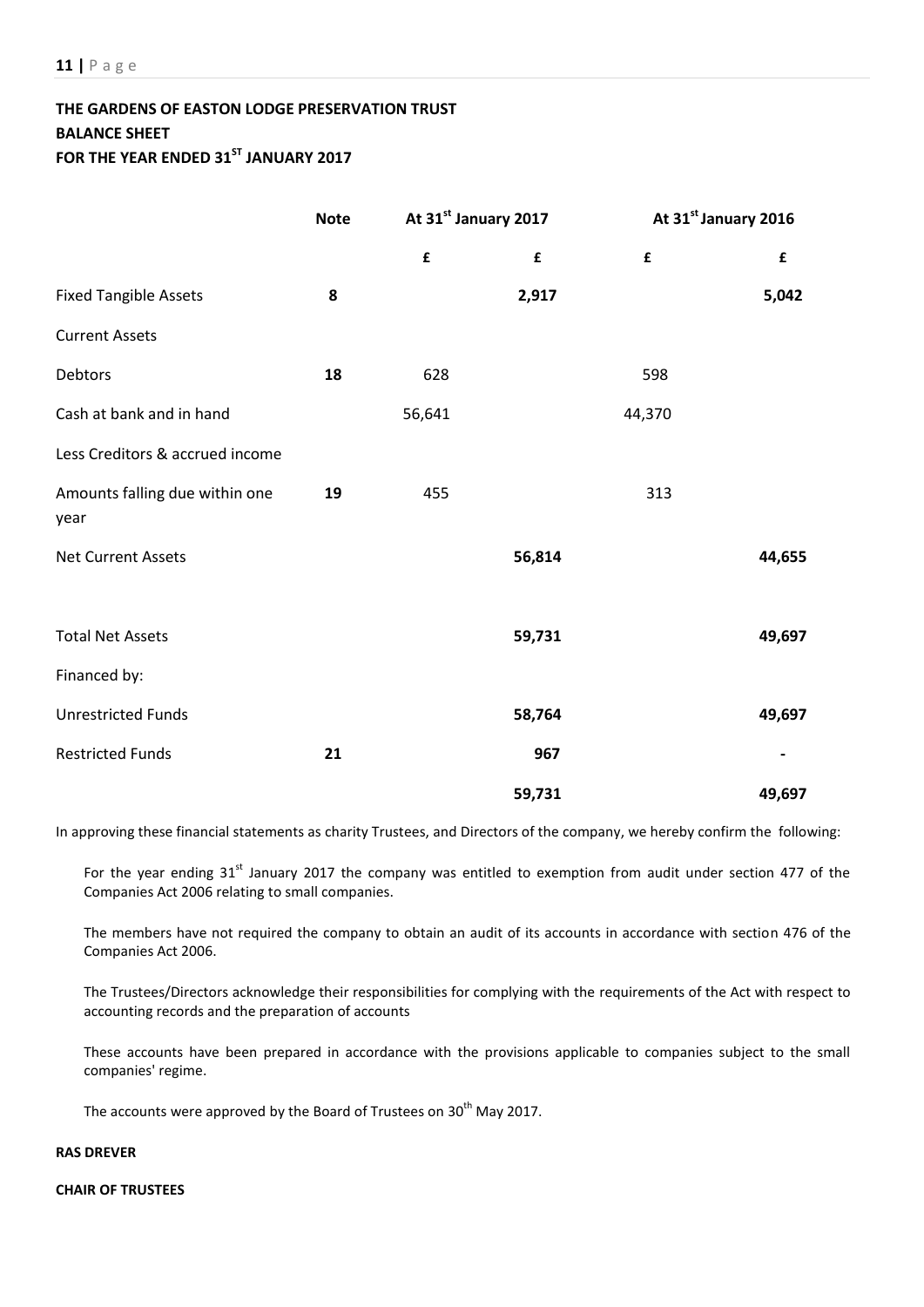## **THE GARDENS OF EASTON LODGE PRESERVATION TRUST BALANCE SHEET FOR THE YEAR ENDED 31ST JANUARY 2017**

|                                        | <b>Note</b> | At 31st January 2017 |        | At 31st January 2016 |        |
|----------------------------------------|-------------|----------------------|--------|----------------------|--------|
|                                        |             | $\mathbf f$          | £      | $\mathbf f$          | £      |
| <b>Fixed Tangible Assets</b>           | 8           |                      | 2,917  |                      | 5,042  |
| <b>Current Assets</b>                  |             |                      |        |                      |        |
| Debtors                                | 18          | 628                  |        | 598                  |        |
| Cash at bank and in hand               |             | 56,641               |        | 44,370               |        |
| Less Creditors & accrued income        |             |                      |        |                      |        |
| Amounts falling due within one<br>year | 19          | 455                  |        | 313                  |        |
| <b>Net Current Assets</b>              |             |                      | 56,814 |                      | 44,655 |
| <b>Total Net Assets</b>                |             |                      | 59,731 |                      | 49,697 |
| Financed by:                           |             |                      |        |                      |        |
| <b>Unrestricted Funds</b>              |             |                      | 58,764 |                      | 49,697 |
| <b>Restricted Funds</b>                | 21          |                      | 967    |                      |        |
|                                        |             |                      | 59,731 |                      | 49,697 |

In approving these financial statements as charity Trustees, and Directors of the company, we hereby confirm the following:

For the year ending  $31<sup>st</sup>$  January 2017 the company was entitled to exemption from audit under section 477 of the Companies Act 2006 relating to small companies.

The members have not required the company to obtain an audit of its accounts in accordance with section 476 of the Companies Act 2006.

The Trustees/Directors acknowledge their responsibilities for complying with the requirements of the Act with respect to accounting records and the preparation of accounts

These accounts have been prepared in accordance with the provisions applicable to companies subject to the small companies' regime.

The accounts were approved by the Board of Trustees on 30<sup>th</sup> May 2017.

#### **RAS DREVER**

#### **CHAIR OF TRUSTEES**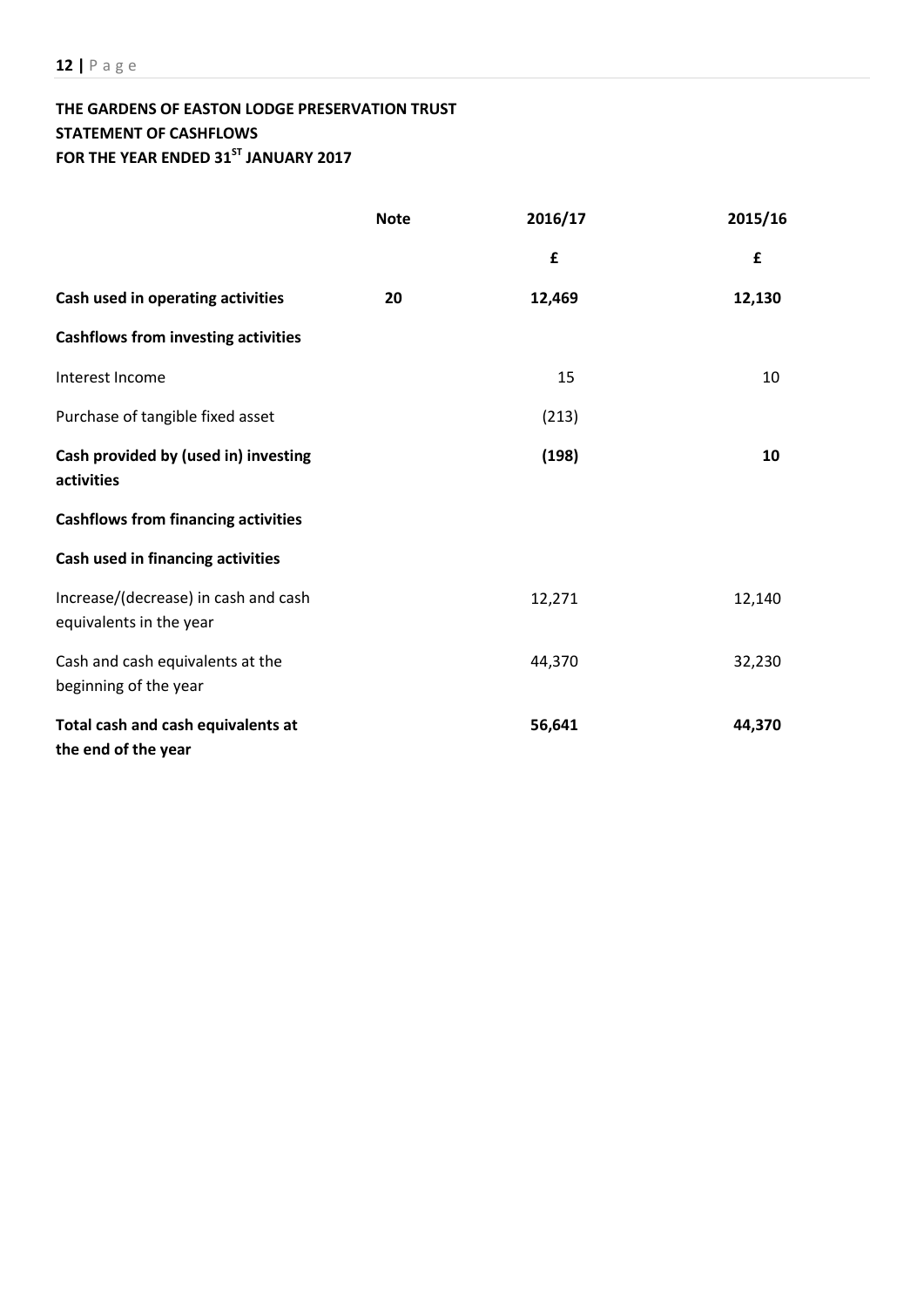## **THE GARDENS OF EASTON LODGE PRESERVATION TRUST STATEMENT OF CASHFLOWS FOR THE YEAR ENDED 31ST JANUARY 2017**

|                                                                 | <b>Note</b> | 2016/17 | 2015/16 |
|-----------------------------------------------------------------|-------------|---------|---------|
|                                                                 |             | £       | £       |
| Cash used in operating activities                               | 20          | 12,469  | 12,130  |
| <b>Cashflows from investing activities</b>                      |             |         |         |
| Interest Income                                                 |             | 15      | 10      |
| Purchase of tangible fixed asset                                |             | (213)   |         |
| Cash provided by (used in) investing<br>activities              |             | (198)   | 10      |
| <b>Cashflows from financing activities</b>                      |             |         |         |
| Cash used in financing activities                               |             |         |         |
| Increase/(decrease) in cash and cash<br>equivalents in the year |             | 12,271  | 12,140  |
| Cash and cash equivalents at the<br>beginning of the year       |             | 44,370  | 32,230  |
| Total cash and cash equivalents at<br>the end of the year       |             | 56,641  | 44,370  |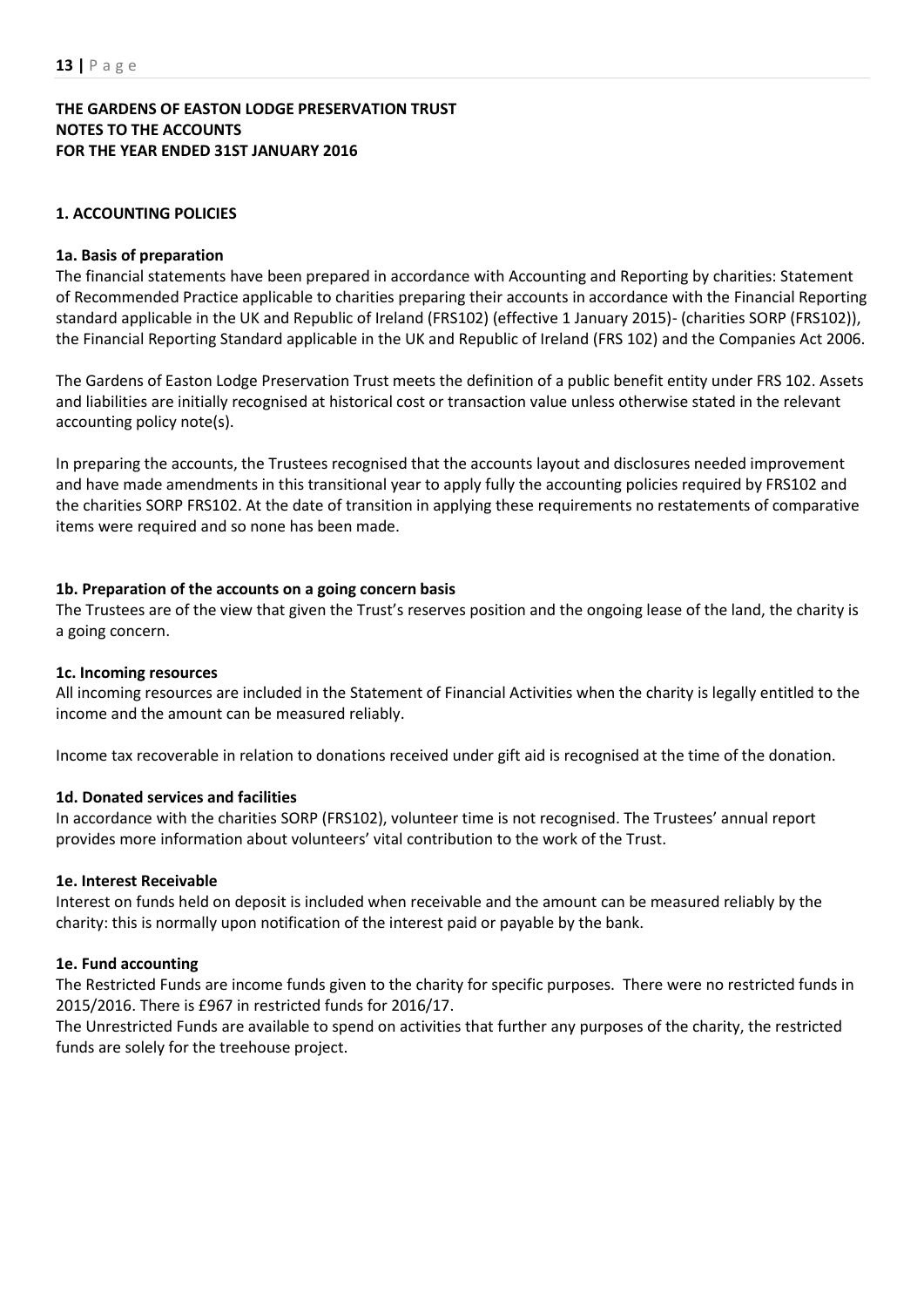#### **1. ACCOUNTING POLICIES**

#### **1a. Basis of preparation**

The financial statements have been prepared in accordance with Accounting and Reporting by charities: Statement of Recommended Practice applicable to charities preparing their accounts in accordance with the Financial Reporting standard applicable in the UK and Republic of Ireland (FRS102) (effective 1 January 2015)- (charities SORP (FRS102)), the Financial Reporting Standard applicable in the UK and Republic of Ireland (FRS 102) and the Companies Act 2006.

The Gardens of Easton Lodge Preservation Trust meets the definition of a public benefit entity under FRS 102. Assets and liabilities are initially recognised at historical cost or transaction value unless otherwise stated in the relevant accounting policy note(s).

In preparing the accounts, the Trustees recognised that the accounts layout and disclosures needed improvement and have made amendments in this transitional year to apply fully the accounting policies required by FRS102 and the charities SORP FRS102. At the date of transition in applying these requirements no restatements of comparative items were required and so none has been made.

#### **1b. Preparation of the accounts on a going concern basis**

The Trustees are of the view that given the Trust's reserves position and the ongoing lease of the land, the charity is a going concern.

#### **1c. Incoming resources**

All incoming resources are included in the Statement of Financial Activities when the charity is legally entitled to the income and the amount can be measured reliably.

Income tax recoverable in relation to donations received under gift aid is recognised at the time of the donation.

#### **1d. Donated services and facilities**

In accordance with the charities SORP (FRS102), volunteer time is not recognised. The Trustees' annual report provides more information about volunteers' vital contribution to the work of the Trust.

#### **1e. Interest Receivable**

Interest on funds held on deposit is included when receivable and the amount can be measured reliably by the charity: this is normally upon notification of the interest paid or payable by the bank.

#### **1e. Fund accounting**

The Restricted Funds are income funds given to the charity for specific purposes. There were no restricted funds in 2015/2016. There is £967 in restricted funds for 2016/17.

The Unrestricted Funds are available to spend on activities that further any purposes of the charity, the restricted funds are solely for the treehouse project.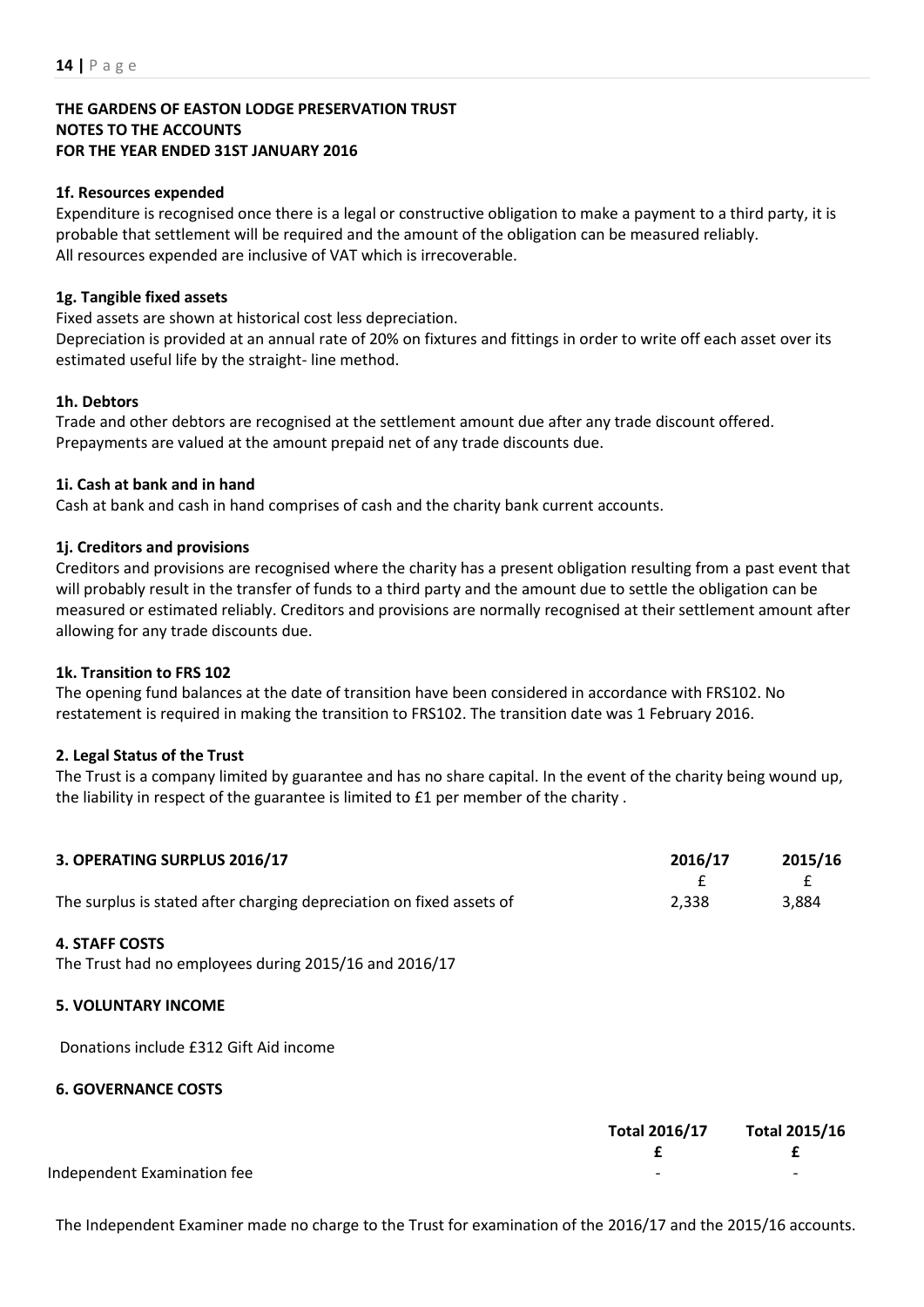#### **1f. Resources expended**

Expenditure is recognised once there is a legal or constructive obligation to make a payment to a third party, it is probable that settlement will be required and the amount of the obligation can be measured reliably. All resources expended are inclusive of VAT which is irrecoverable.

#### **1g. Tangible fixed assets**

Fixed assets are shown at historical cost less depreciation.

Depreciation is provided at an annual rate of 20% on fixtures and fittings in order to write off each asset over its estimated useful life by the straight- line method.

#### **1h. Debtors**

Trade and other debtors are recognised at the settlement amount due after any trade discount offered. Prepayments are valued at the amount prepaid net of any trade discounts due.

#### **1i. Cash at bank and in hand**

Cash at bank and cash in hand comprises of cash and the charity bank current accounts.

#### **1j. Creditors and provisions**

Creditors and provisions are recognised where the charity has a present obligation resulting from a past event that will probably result in the transfer of funds to a third party and the amount due to settle the obligation can be measured or estimated reliably. Creditors and provisions are normally recognised at their settlement amount after allowing for any trade discounts due.

#### **1k. Transition to FRS 102**

The opening fund balances at the date of transition have been considered in accordance with FRS102. No restatement is required in making the transition to FRS102. The transition date was 1 February 2016.

#### **2. Legal Status of the Trust**

The Trust is a company limited by guarantee and has no share capital. In the event of the charity being wound up, the liability in respect of the guarantee is limited to £1 per member of the charity .

| 3. OPERATING SURPLUS 2016/17                                                   | 2016/17<br>£              | 2015/16<br>£              |
|--------------------------------------------------------------------------------|---------------------------|---------------------------|
| The surplus is stated after charging depreciation on fixed assets of           | 2,338                     | 3,884                     |
| <b>4. STAFF COSTS</b><br>The Trust had no employees during 2015/16 and 2016/17 |                           |                           |
| <b>5. VOLUNTARY INCOME</b>                                                     |                           |                           |
| Donations include £312 Gift Aid income                                         |                           |                           |
| <b>6. GOVERNANCE COSTS</b>                                                     |                           |                           |
|                                                                                | <b>Total 2016/17</b><br>£ | <b>Total 2015/16</b><br>£ |
| Independent Examination fee                                                    |                           |                           |

The Independent Examiner made no charge to the Trust for examination of the 2016/17 and the 2015/16 accounts.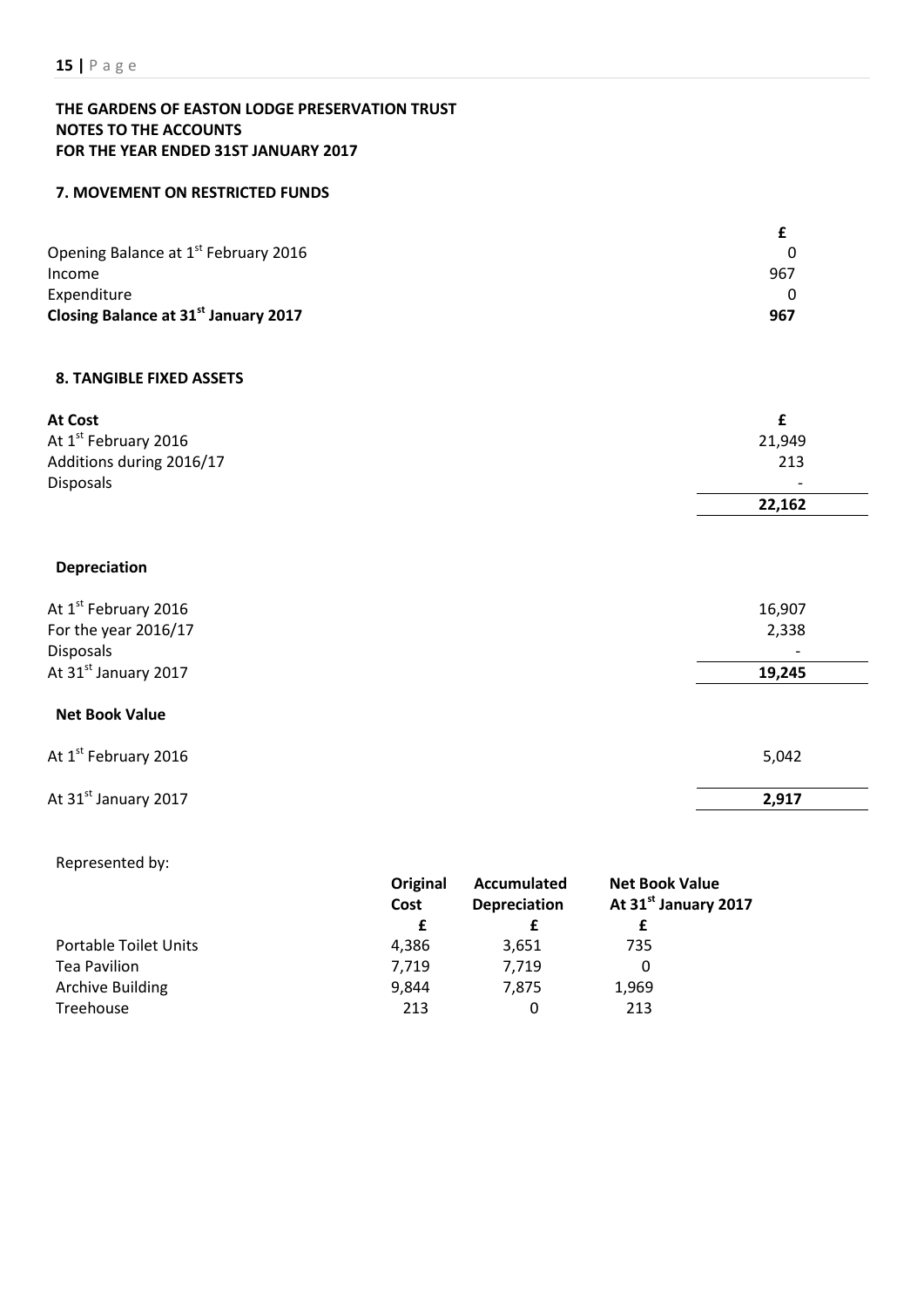#### **7. MOVEMENT ON RESTRICTED FUNDS**

| Opening Balance at 1 <sup>st</sup> February 2016 |              |
|--------------------------------------------------|--------------|
| Income                                           | 967          |
| Expenditure                                      | <sup>0</sup> |
| Closing Balance at 31 <sup>st</sup> January 2017 | 967          |

#### **8. TANGIBLE FIXED ASSETS**

| <b>At Cost</b>                   |                          |
|----------------------------------|--------------------------|
| At 1 <sup>st</sup> February 2016 | 21,949                   |
| Additions during 2016/17         | 213                      |
| <b>Disposals</b>                 | $\overline{\phantom{0}}$ |
|                                  | 22,162                   |

#### **Depreciation**

| At 1 <sup>st</sup> February 2016<br>For the year 2016/17<br><b>Disposals</b> | 16,907<br>2,338<br>$\overline{\phantom{a}}$ |
|------------------------------------------------------------------------------|---------------------------------------------|
| At 31st January 2017                                                         | 19,245                                      |
| <b>Net Book Value</b>                                                        |                                             |
| At 1 <sup>st</sup> February 2016                                             | 5,042                                       |

## At 31<sup>st</sup> January 2017 **2,917**

#### Represented by:

|                              | Original<br>Cost | Accumulated<br><b>Depreciation</b> | <b>Net Book Value</b><br>At 31st January 2017 |  |
|------------------------------|------------------|------------------------------------|-----------------------------------------------|--|
|                              |                  |                                    |                                               |  |
| <b>Portable Toilet Units</b> | 4.386            | 3,651                              | 735                                           |  |
| Tea Pavilion                 | 7.719            | 7.719                              |                                               |  |
| <b>Archive Building</b>      | 9,844            | 7.875                              | 1,969                                         |  |
| Treehouse                    | 213              | 0                                  | 213                                           |  |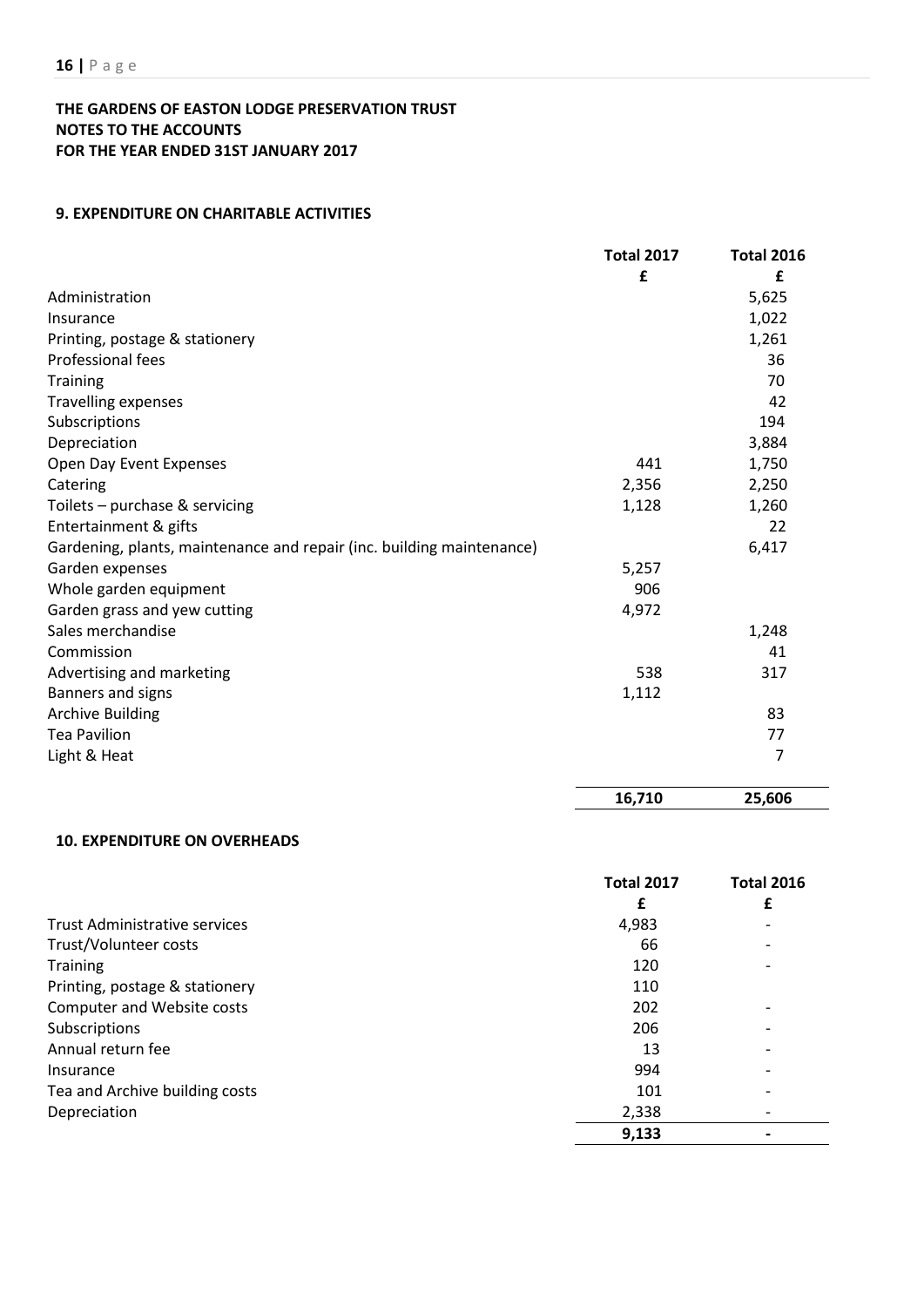#### **9. EXPENDITURE ON CHARITABLE ACTIVITIES**

|                                                                       | <b>Total 2017</b> | <b>Total 2016</b> |
|-----------------------------------------------------------------------|-------------------|-------------------|
|                                                                       | £                 | £                 |
| Administration                                                        |                   | 5,625             |
| Insurance                                                             |                   | 1,022             |
| Printing, postage & stationery                                        |                   | 1,261             |
| Professional fees                                                     |                   | 36                |
| Training                                                              |                   | 70                |
| <b>Travelling expenses</b>                                            |                   | 42                |
| Subscriptions                                                         |                   | 194               |
| Depreciation                                                          |                   | 3,884             |
| Open Day Event Expenses                                               | 441               | 1,750             |
| Catering                                                              | 2,356             | 2,250             |
| Toilets - purchase & servicing                                        | 1,128             | 1,260             |
| Entertainment & gifts                                                 |                   | 22                |
| Gardening, plants, maintenance and repair (inc. building maintenance) |                   | 6,417             |
| Garden expenses                                                       | 5,257             |                   |
| Whole garden equipment                                                | 906               |                   |
| Garden grass and yew cutting                                          | 4,972             |                   |
| Sales merchandise                                                     |                   | 1,248             |
| Commission                                                            |                   | 41                |
| Advertising and marketing                                             | 538               | 317               |
| Banners and signs                                                     | 1,112             |                   |
| <b>Archive Building</b>                                               |                   | 83                |
| <b>Tea Pavilion</b>                                                   |                   | 77                |
| Light & Heat                                                          |                   | 7                 |
|                                                                       | 16,710            | 25,606            |

#### **10. EXPENDITURE ON OVERHEADS**

|                                      | <b>Total 2017</b> | <b>Total 2016</b> |  |
|--------------------------------------|-------------------|-------------------|--|
|                                      | £                 | £                 |  |
| <b>Trust Administrative services</b> | 4,983             |                   |  |
| Trust/Volunteer costs                | 66                |                   |  |
| Training                             | 120               |                   |  |
| Printing, postage & stationery       | 110               |                   |  |
| Computer and Website costs           | 202               |                   |  |
| Subscriptions                        | 206               |                   |  |
| Annual return fee                    | 13                |                   |  |
| Insurance                            | 994               |                   |  |
| Tea and Archive building costs       | 101               |                   |  |
| Depreciation                         | 2,338             |                   |  |
|                                      | 9,133             |                   |  |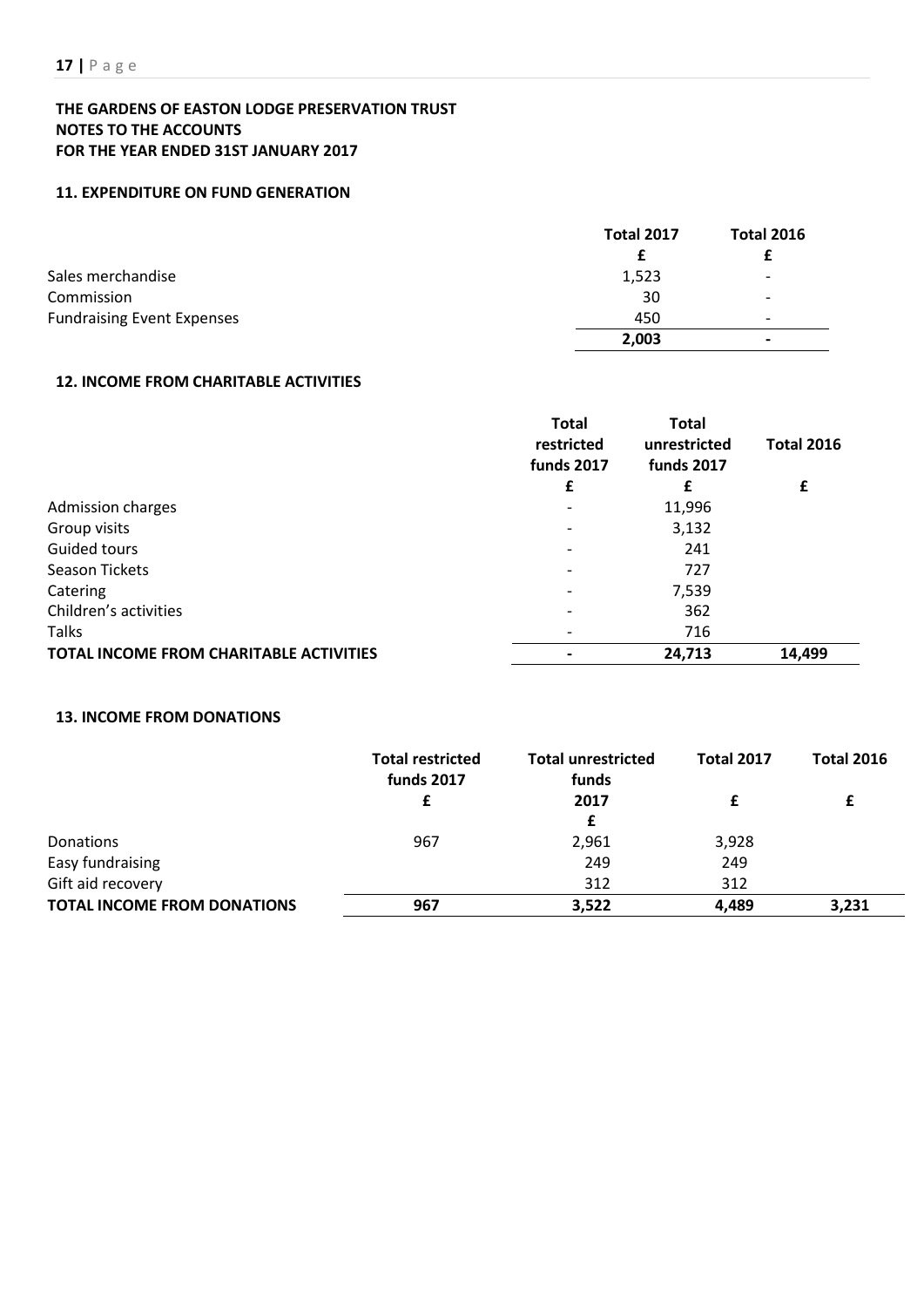#### **11. EXPENDITURE ON FUND GENERATION**

|                                   | <b>Total 2017</b> | <b>Total 2016</b>        |  |
|-----------------------------------|-------------------|--------------------------|--|
|                                   |                   |                          |  |
| Sales merchandise                 | 1,523             | $\overline{\phantom{0}}$ |  |
| Commission                        | 30                | $\overline{\phantom{0}}$ |  |
| <b>Fundraising Event Expenses</b> | 450               | $\overline{\phantom{0}}$ |  |
|                                   | 2,003             | $\overline{\phantom{0}}$ |  |

#### **12. INCOME FROM CHARITABLE ACTIVITIES**

|                                                | <b>Total</b><br>restricted<br><b>funds 2017</b> | <b>Total</b><br>unrestricted<br><b>funds 2017</b> | <b>Total 2016</b> |
|------------------------------------------------|-------------------------------------------------|---------------------------------------------------|-------------------|
|                                                | £                                               | £                                                 | £                 |
| <b>Admission charges</b>                       |                                                 | 11,996                                            |                   |
| Group visits                                   |                                                 | 3,132                                             |                   |
| Guided tours                                   |                                                 | 241                                               |                   |
| Season Tickets                                 |                                                 | 727                                               |                   |
| Catering                                       |                                                 | 7,539                                             |                   |
| Children's activities                          |                                                 | 362                                               |                   |
| <b>Talks</b>                                   |                                                 | 716                                               |                   |
| <b>TOTAL INCOME FROM CHARITABLE ACTIVITIES</b> |                                                 | 24,713                                            | 14,499            |

#### **13. INCOME FROM DONATIONS**

|                                    | <b>Total restricted</b><br><b>funds 2017</b> | <b>Total unrestricted</b><br>funds | <b>Total 2017</b> | <b>Total 2016</b> |
|------------------------------------|----------------------------------------------|------------------------------------|-------------------|-------------------|
|                                    |                                              | 2017                               |                   |                   |
|                                    |                                              | £                                  |                   |                   |
| Donations                          | 967                                          | 2,961                              | 3,928             |                   |
| Easy fundraising                   |                                              | 249                                | 249               |                   |
| Gift aid recovery                  |                                              | 312                                | 312               |                   |
| <b>TOTAL INCOME FROM DONATIONS</b> | 967                                          | 3,522                              | 4,489             | 3,231             |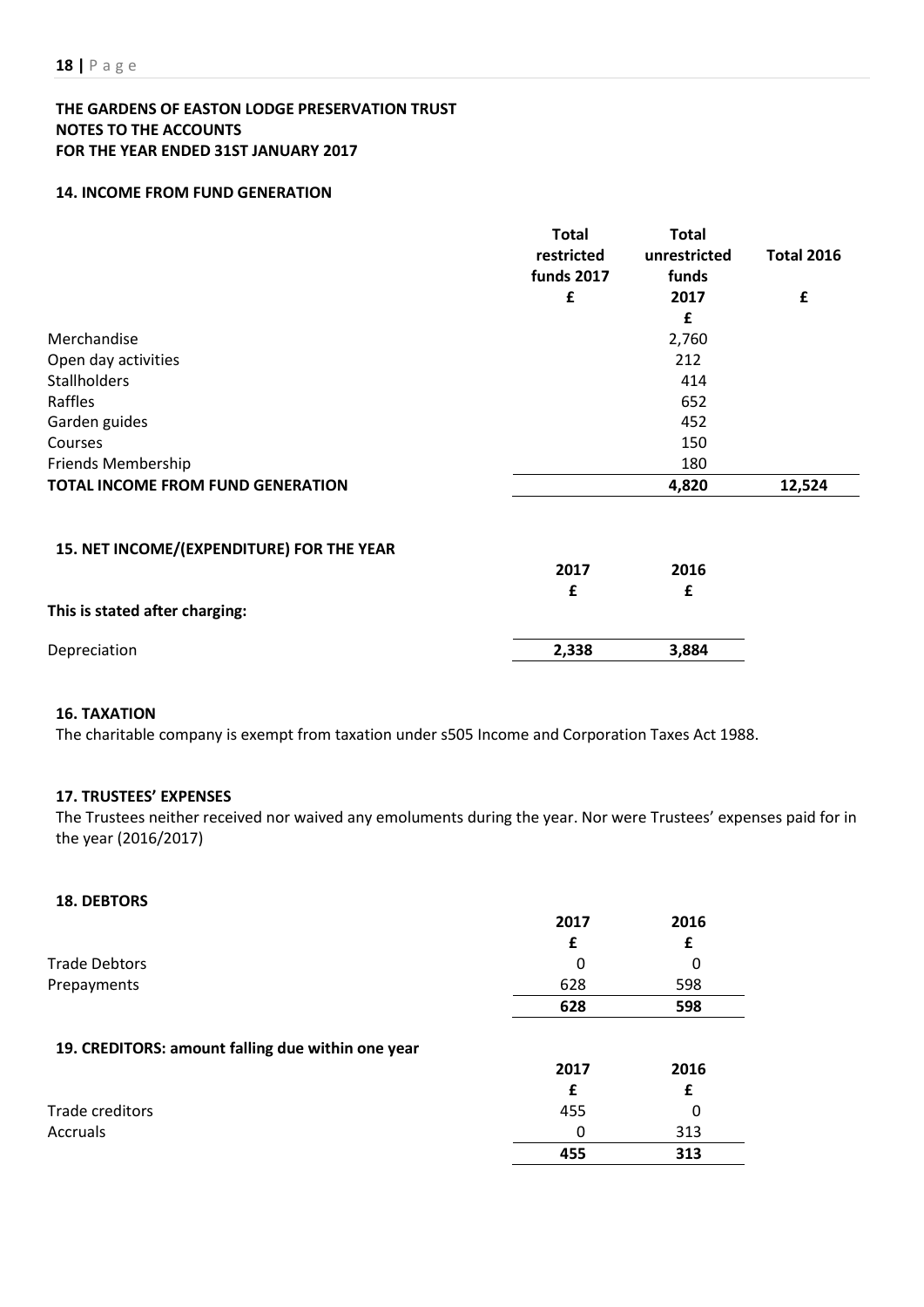#### **14. INCOME FROM FUND GENERATION**

|                                          | <b>Total</b><br>restricted<br><b>funds 2017</b> | <b>Total</b><br>unrestricted<br>funds | <b>Total 2016</b> |
|------------------------------------------|-------------------------------------------------|---------------------------------------|-------------------|
|                                          | £                                               | 2017                                  | £                 |
|                                          |                                                 | £                                     |                   |
| Merchandise                              |                                                 | 2,760                                 |                   |
| Open day activities                      |                                                 | 212                                   |                   |
| <b>Stallholders</b>                      |                                                 | 414                                   |                   |
| Raffles                                  |                                                 | 652                                   |                   |
| Garden guides                            |                                                 | 452                                   |                   |
| Courses                                  |                                                 | 150                                   |                   |
| Friends Membership                       |                                                 | 180                                   |                   |
| <b>TOTAL INCOME FROM FUND GENERATION</b> |                                                 | 4,820                                 | 12,524            |

#### **15. NET INCOME/(EXPENDITURE) FOR THE YEAR**

|                                | 2017  | 2016  |  |
|--------------------------------|-------|-------|--|
|                                |       | £     |  |
| This is stated after charging: |       |       |  |
| Depreciation                   | 2,338 | 3,884 |  |

#### **16. TAXATION**

The charitable company is exempt from taxation under s505 Income and Corporation Taxes Act 1988.

#### **17. TRUSTEES' EXPENSES**

The Trustees neither received nor waived any emoluments during the year. Nor were Trustees' expenses paid for in the year (2016/2017)

#### **18. DEBTORS**

|                                                   | 2017 | 2016 |
|---------------------------------------------------|------|------|
|                                                   | £    | £    |
| <b>Trade Debtors</b>                              | O    |      |
| Prepayments                                       | 628  | 598  |
|                                                   | 628  | 598  |
| 19. CREDITORS: amount falling due within one year |      |      |
|                                                   | 2017 | 2016 |
|                                                   | £    | £    |
| Trade creditors                                   | 455  |      |
| <b>Accruals</b>                                   |      | 313  |
|                                                   | 455  | 313  |